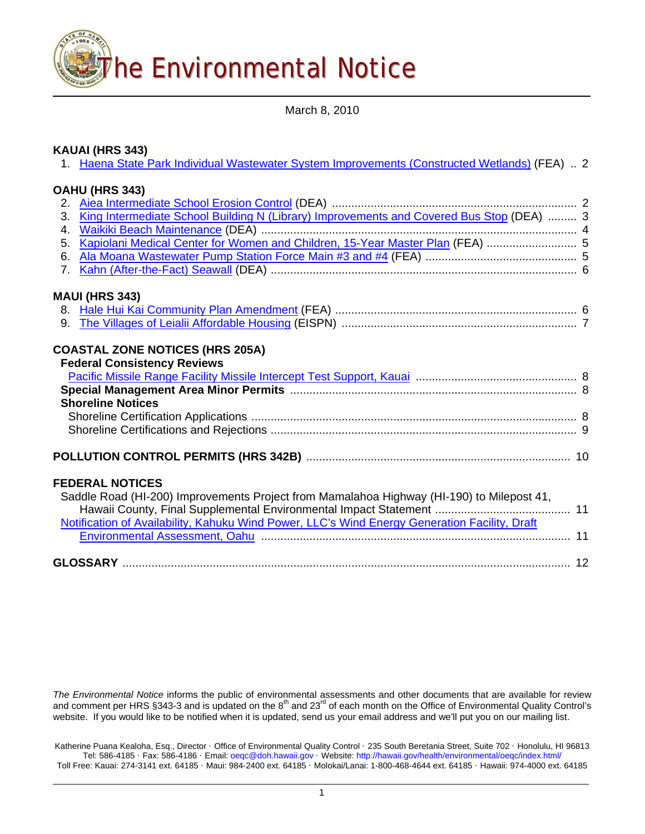

March 8, 2010

## **KAUAI (HRS 343)**

|                | 1. Haena State Park Individual Wastewater System Improvements (Constructed Wetlands) (FEA)  2 |  |
|----------------|-----------------------------------------------------------------------------------------------|--|
|                | OAHU (HRS 343)                                                                                |  |
|                |                                                                                               |  |
| 3 <sub>1</sub> | King Intermediate School Building N (Library) Improvements and Covered Bus Stop (DEA)  3      |  |
| 4.             |                                                                                               |  |
| 5 <sub>1</sub> | Kapiolani Medical Center for Women and Children, 15-Year Master Plan (FEA)  5                 |  |
| 6.             |                                                                                               |  |
| 7 <sub>1</sub> |                                                                                               |  |
|                |                                                                                               |  |
|                | <b>MAUI (HRS 343)</b>                                                                         |  |
|                |                                                                                               |  |
| 9.             |                                                                                               |  |
|                |                                                                                               |  |
|                | <b>COASTAL ZONE NOTICES (HRS 205A)</b>                                                        |  |
|                | <b>Federal Consistency Reviews</b>                                                            |  |
|                |                                                                                               |  |
|                |                                                                                               |  |
|                | <b>Shoreline Notices</b>                                                                      |  |
|                |                                                                                               |  |
|                |                                                                                               |  |
|                |                                                                                               |  |
|                |                                                                                               |  |
|                |                                                                                               |  |
|                | <b>FEDERAL NOTICES</b>                                                                        |  |
|                | Saddle Road (HI-200) Improvements Project from Mamalahoa Highway (HI-190) to Milepost 41,     |  |
|                |                                                                                               |  |
|                | Notification of Availability, Kahuku Wind Power, LLC's Wind Energy Generation Facility, Draft |  |
|                |                                                                                               |  |
|                |                                                                                               |  |
|                |                                                                                               |  |
|                |                                                                                               |  |
|                |                                                                                               |  |

*The Environmental Notice* informs the public of environmental assessments and other documents that are available for review and comment per HRS §343-3 and is updated on the 8<sup>th</sup> and 23<sup>rd</sup> of each month on the Office of Environmental Quality Control's website. If you would like to be notified when it is updated, send us your email address and we'll put you on our mailing list.

Katherine Puana Kealoha, Esq., Director · Office of Environmental Quality Control · 235 South Beretania Street, Suite 702 · Honolulu, HI 96813 Tel: 586-4185 · Fax: 586-4186 · Email: [oeqc@doh.hawaii.gov](mailto:oeqc@doh.hawaii.gov) · Website: <http://hawaii.gov/health/environmental/oeqc/index.html/> Toll Free: Kauai: 274-3141 ext. 64185 · Maui: 984-2400 ext. 64185 · Molokai/Lanai: 1-800-468-4644 ext. 64185 · Hawaii: 974-4000 ext. 64185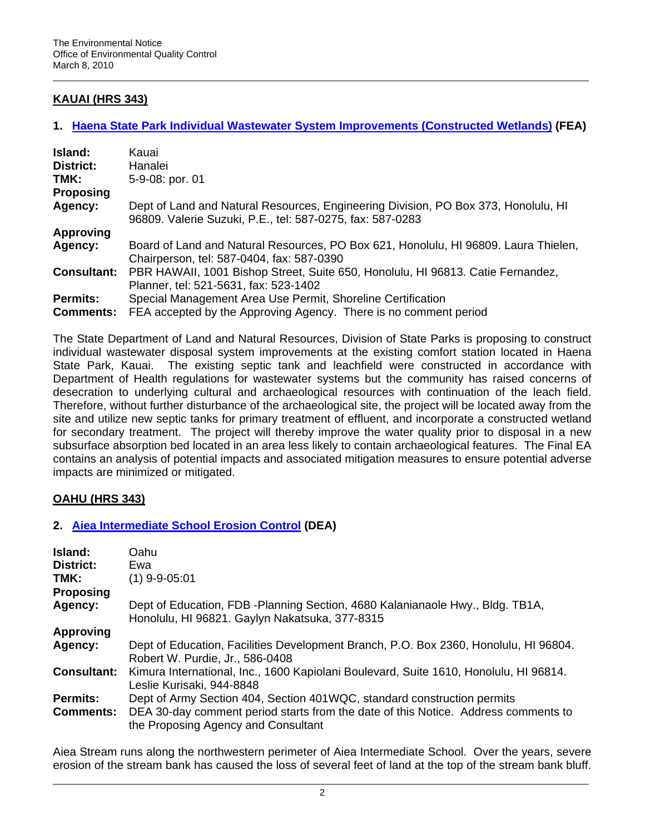## **KAUAI (HRS 343)**

## **1. [Haena State Park Individual Wastewater System Improvements \(Constructed Wetlands\)](http://oeqc.doh.hawaii.gov/Shared%20Documents/EA_and_EIS_Online_Library/Kauai/2010s/2010-03-08-KA-FEA-Haena-State-Park-Imp.pdf) (FEA)**

| Island:            | Kauai                                                                                                                                           |  |
|--------------------|-------------------------------------------------------------------------------------------------------------------------------------------------|--|
| District:          | Hanalei                                                                                                                                         |  |
| TMK:               | 5-9-08: por. 01                                                                                                                                 |  |
| <b>Proposing</b>   |                                                                                                                                                 |  |
| Agency:            | Dept of Land and Natural Resources, Engineering Division, PO Box 373, Honolulu, HI<br>96809. Valerie Suzuki, P.E., tel: 587-0275, fax: 587-0283 |  |
| <b>Approving</b>   |                                                                                                                                                 |  |
| Agency:            | Board of Land and Natural Resources, PO Box 621, Honolulu, HI 96809. Laura Thielen,<br>Chairperson, tel: 587-0404, fax: 587-0390                |  |
| <b>Consultant:</b> | PBR HAWAII, 1001 Bishop Street, Suite 650, Honolulu, HI 96813. Catie Fernandez,<br>Planner, tel: 521-5631, fax: 523-1402                        |  |
| <b>Permits:</b>    | Special Management Area Use Permit, Shoreline Certification                                                                                     |  |
| <b>Comments:</b>   | FEA accepted by the Approving Agency. There is no comment period                                                                                |  |

The State Department of Land and Natural Resources, Division of State Parks is proposing to construct individual wastewater disposal system improvements at the existing comfort station located in Haena State Park, Kauai. The existing septic tank and leachfield were constructed in accordance with Department of Health regulations for wastewater systems but the community has raised concerns of desecration to underlying cultural and archaeological resources with continuation of the leach field. Therefore, without further disturbance of the archaeological site, the project will be located away from the site and utilize new septic tanks for primary treatment of effluent, and incorporate a constructed wetland for secondary treatment. The project will thereby improve the water quality prior to disposal in a new subsurface absorption bed located in an area less likely to contain archaeological features. The Final EA contains an analysis of potential impacts and associated mitigation measures to ensure potential adverse impacts are minimized or mitigated.

## **OAHU (HRS 343)**

## **2. [Aiea Intermediate School Erosion Control](http://oeqc.doh.hawaii.gov/Shared%20Documents/EA_and_EIS_Online_Library/Oahu/2010s/2010-03-08-OA-DEA-Aiea-Int-School-Erosion.pdf) (DEA)**

| Island:<br><b>District:</b><br>TMK:<br><b>Proposing</b> | Oahu<br>Ewa<br>$(1)$ 9-9-05:01                                                                                                                                                                       |
|---------------------------------------------------------|------------------------------------------------------------------------------------------------------------------------------------------------------------------------------------------------------|
| Agency:                                                 | Dept of Education, FDB -Planning Section, 4680 Kalanianaole Hwy., Bldg. TB1A,<br>Honolulu, HI 96821. Gaylyn Nakatsuka, 377-8315                                                                      |
| <b>Approving</b>                                        |                                                                                                                                                                                                      |
| Agency:                                                 | Dept of Education, Facilities Development Branch, P.O. Box 2360, Honolulu, HI 96804.<br>Robert W. Purdie, Jr., 586-0408                                                                              |
| <b>Consultant:</b>                                      | Kimura International, Inc., 1600 Kapiolani Boulevard, Suite 1610, Honolulu, HI 96814.<br>Leslie Kurisaki, 944-8848                                                                                   |
| <b>Permits:</b><br><b>Comments:</b>                     | Dept of Army Section 404, Section 401WQC, standard construction permits<br>DEA 30-day comment period starts from the date of this Notice. Address comments to<br>the Proposing Agency and Consultant |

Aiea Stream runs along the northwestern perimeter of Aiea Intermediate School. Over the years, severe erosion of the stream bank has caused the loss of several feet of land at the top of the stream bank bluff.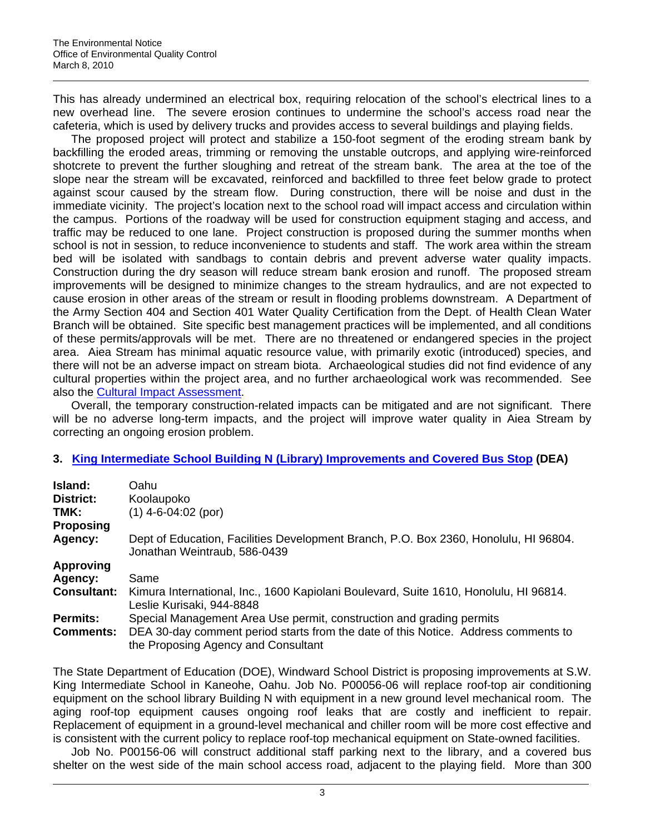This has already undermined an electrical box, requiring relocation of the school's electrical lines to a new overhead line. The severe erosion continues to undermine the school's access road near the cafeteria, which is used by delivery trucks and provides access to several buildings and playing fields.

The proposed project will protect and stabilize a 150-foot segment of the eroding stream bank by backfilling the eroded areas, trimming or removing the unstable outcrops, and applying wire-reinforced shotcrete to prevent the further sloughing and retreat of the stream bank. The area at the toe of the slope near the stream will be excavated, reinforced and backfilled to three feet below grade to protect against scour caused by the stream flow. During construction, there will be noise and dust in the immediate vicinity. The project's location next to the school road will impact access and circulation within the campus. Portions of the roadway will be used for construction equipment staging and access, and traffic may be reduced to one lane. Project construction is proposed during the summer months when school is not in session, to reduce inconvenience to students and staff. The work area within the stream bed will be isolated with sandbags to contain debris and prevent adverse water quality impacts. Construction during the dry season will reduce stream bank erosion and runoff. The proposed stream improvements will be designed to minimize changes to the stream hydraulics, and are not expected to cause erosion in other areas of the stream or result in flooding problems downstream. A Department of the Army Section 404 and Section 401 Water Quality Certification from the Dept. of Health Clean Water Branch will be obtained. Site specific best management practices will be implemented, and all conditions of these permits/approvals will be met. There are no threatened or endangered species in the project area. Aiea Stream has minimal aquatic resource value, with primarily exotic (introduced) species, and there will not be an adverse impact on stream biota. Archaeological studies did not find evidence of any cultural properties within the project area, and no further archaeological work was recommended. See also the [Cultural Impact Assessment.](http://oeqc.doh.hawaii.gov/Shared%20Documents/EA_and_EIS_Online_Library/Oahu/2010s/2010-03-08-OA-DEA-Aiea-Int-School-Erosion-CIA.pdf)

Overall, the temporary construction-related impacts can be mitigated and are not significant. There will be no adverse long-term impacts, and the project will improve water quality in Aiea Stream by correcting an ongoing erosion problem.

### **3. [King Intermediate School Building N \(Library\) Improvements and Covered Bus Stop](http://oeqc.doh.hawaii.gov/Shared%20Documents/EA_and_EIS_Online_Library/Oahu/2010s/2010-03-08-OA-DEA-King-Int-School.pdf) (DEA)**

| Island:            | Oahu                                                                                                                      |
|--------------------|---------------------------------------------------------------------------------------------------------------------------|
| <b>District:</b>   | Koolaupoko                                                                                                                |
| TMK:               | $(1)$ 4-6-04:02 (por)                                                                                                     |
| <b>Proposing</b>   |                                                                                                                           |
| Agency:            | Dept of Education, Facilities Development Branch, P.O. Box 2360, Honolulu, HI 96804.<br>Jonathan Weintraub, 586-0439      |
| <b>Approving</b>   |                                                                                                                           |
| Agency:            | Same                                                                                                                      |
| <b>Consultant:</b> | Kimura International, Inc., 1600 Kapiolani Boulevard, Suite 1610, Honolulu, HI 96814.<br>Leslie Kurisaki, 944-8848        |
| <b>Permits:</b>    | Special Management Area Use permit, construction and grading permits                                                      |
| <b>Comments:</b>   | DEA 30-day comment period starts from the date of this Notice. Address comments to<br>the Proposing Agency and Consultant |

The State Department of Education (DOE), Windward School District is proposing improvements at S.W. King Intermediate School in Kaneohe, Oahu. Job No. P00056-06 will replace roof-top air conditioning equipment on the school library Building N with equipment in a new ground level mechanical room. The aging roof-top equipment causes ongoing roof leaks that are costly and inefficient to repair. Replacement of equipment in a ground-level mechanical and chiller room will be more cost effective and is consistent with the current policy to replace roof-top mechanical equipment on State-owned facilities.

Job No. P00156-06 will construct additional staff parking next to the library, and a covered bus shelter on the west side of the main school access road, adjacent to the playing field. More than 300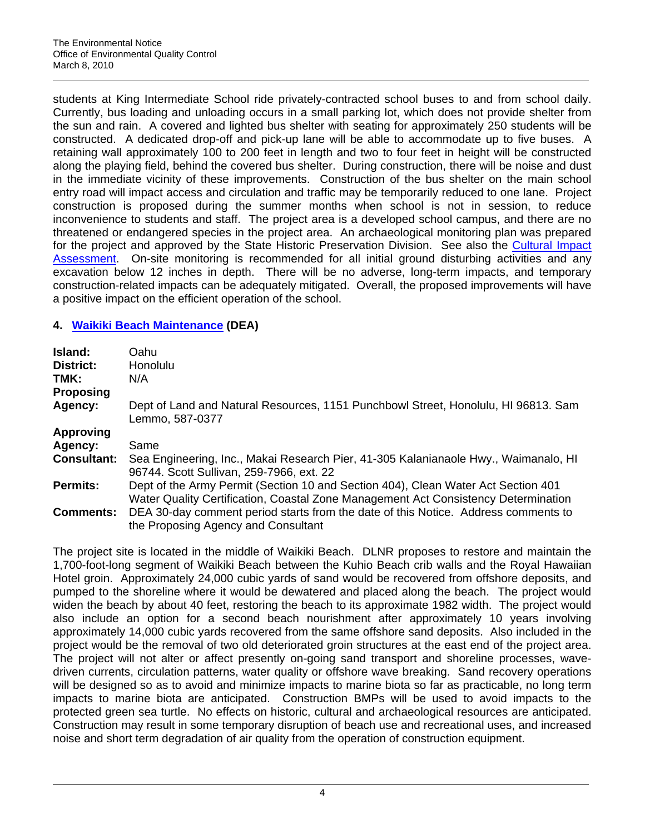students at King Intermediate School ride privately-contracted school buses to and from school daily. Currently, bus loading and unloading occurs in a small parking lot, which does not provide shelter from the sun and rain. A covered and lighted bus shelter with seating for approximately 250 students will be constructed. A dedicated drop-off and pick-up lane will be able to accommodate up to five buses. A retaining wall approximately 100 to 200 feet in length and two to four feet in height will be constructed along the playing field, behind the covered bus shelter. During construction, there will be noise and dust in the immediate vicinity of these improvements. Construction of the bus shelter on the main school entry road will impact access and circulation and traffic may be temporarily reduced to one lane. Project construction is proposed during the summer months when school is not in session, to reduce inconvenience to students and staff. The project area is a developed school campus, and there are no threatened or endangered species in the project area. An archaeological monitoring plan was prepared for the project and approved by the State Historic Preservation Division. See also the Cultural Impact [Assessment](http://oeqc.doh.hawaii.gov/Shared%20Documents/EA_and_EIS_Online_Library/Oahu/2010s/2010-03-08-OA-DEA-King-Int-School-CIA.pdf). On-site monitoring is recommended for all initial ground disturbing activities and any excavation below 12 inches in depth. There will be no adverse, long-term impacts, and temporary construction-related impacts can be adequately mitigated. Overall, the proposed improvements will have a positive impact on the efficient operation of the school.

# **4. [Waikiki Beach Maintenance](http://oeqc.doh.hawaii.gov/Shared%20Documents/EA_and_EIS_Online_Library/Oahu/2010s/2010-03-08-OA-DEA-Waikiki-Beach-Maint.pdf) (DEA)**

| Island:<br>District:<br>TMK:<br><b>Proposing</b> | Oahu<br>Honolulu<br>N/A                                                                                                                                                 |
|--------------------------------------------------|-------------------------------------------------------------------------------------------------------------------------------------------------------------------------|
| Agency:                                          | Dept of Land and Natural Resources, 1151 Punchbowl Street, Honolulu, HI 96813. Sam<br>Lemmo, 587-0377                                                                   |
| <b>Approving</b>                                 |                                                                                                                                                                         |
| Agency:                                          | Same                                                                                                                                                                    |
| <b>Consultant:</b>                               | Sea Engineering, Inc., Makai Research Pier, 41-305 Kalanianaole Hwy., Waimanalo, HI<br>96744. Scott Sullivan, 259-7966, ext. 22                                         |
| <b>Permits:</b>                                  | Dept of the Army Permit (Section 10 and Section 404), Clean Water Act Section 401<br>Water Quality Certification, Coastal Zone Management Act Consistency Determination |
| <b>Comments:</b>                                 | DEA 30-day comment period starts from the date of this Notice. Address comments to<br>the Proposing Agency and Consultant                                               |

The project site is located in the middle of Waikiki Beach. DLNR proposes to restore and maintain the 1,700-foot-long segment of Waikiki Beach between the Kuhio Beach crib walls and the Royal Hawaiian Hotel groin. Approximately 24,000 cubic yards of sand would be recovered from offshore deposits, and pumped to the shoreline where it would be dewatered and placed along the beach. The project would widen the beach by about 40 feet, restoring the beach to its approximate 1982 width. The project would also include an option for a second beach nourishment after approximately 10 years involving approximately 14,000 cubic yards recovered from the same offshore sand deposits. Also included in the project would be the removal of two old deteriorated groin structures at the east end of the project area. The project will not alter or affect presently on-going sand transport and shoreline processes, wavedriven currents, circulation patterns, water quality or offshore wave breaking. Sand recovery operations will be designed so as to avoid and minimize impacts to marine biota so far as practicable, no long term impacts to marine biota are anticipated. Construction BMPs will be used to avoid impacts to the protected green sea turtle. No effects on historic, cultural and archaeological resources are anticipated. Construction may result in some temporary disruption of beach use and recreational uses, and increased noise and short term degradation of air quality from the operation of construction equipment.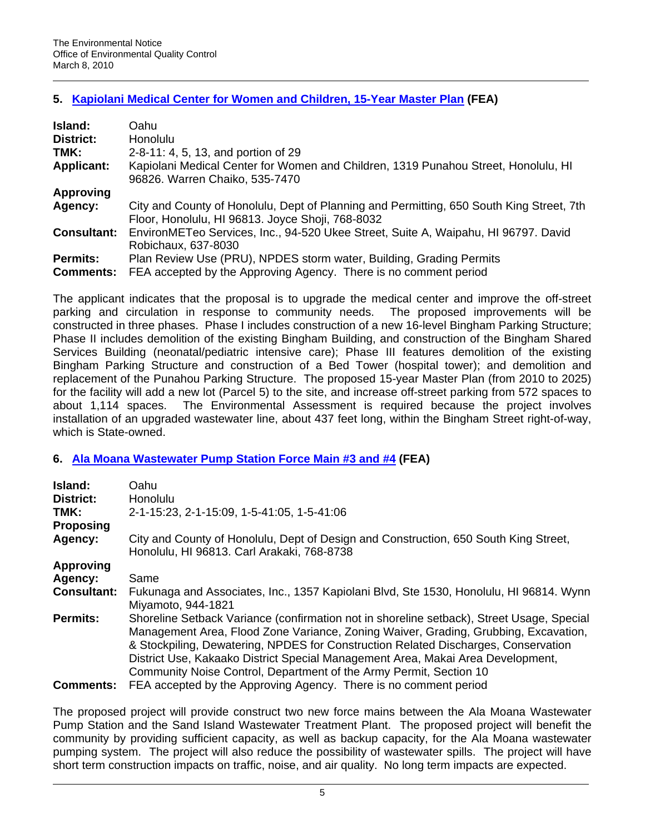## **5. [Kapiolani Medical Center for Women and Children, 15-Year Master Plan](http://oeqc.doh.hawaii.gov/Shared%20Documents/EA_and_EIS_Online_Library/Oahu/2010s/2010-03-08-OA-FEA-Kapiolani-Med-Center-Imp.pdf) (FEA)**

| Island:            | Oahu                                                                                                                                         |  |
|--------------------|----------------------------------------------------------------------------------------------------------------------------------------------|--|
| District:          | <b>Honolulu</b>                                                                                                                              |  |
| TMK:               | 2-8-11: 4, 5, 13, and portion of 29                                                                                                          |  |
| <b>Applicant:</b>  | Kapiolani Medical Center for Women and Children, 1319 Punahou Street, Honolulu, HI<br>96826. Warren Chaiko, 535-7470                         |  |
| <b>Approving</b>   |                                                                                                                                              |  |
| Agency:            | City and County of Honolulu, Dept of Planning and Permitting, 650 South King Street, 7th<br>Floor, Honolulu, HI 96813. Joyce Shoji, 768-8032 |  |
| <b>Consultant:</b> | EnvironMETeo Services, Inc., 94-520 Ukee Street, Suite A, Waipahu, HI 96797. David<br>Robichaux, 637-8030                                    |  |
| <b>Permits:</b>    | Plan Review Use (PRU), NPDES storm water, Building, Grading Permits                                                                          |  |
| <b>Comments:</b>   | FEA accepted by the Approving Agency. There is no comment period                                                                             |  |

The applicant indicates that the proposal is to upgrade the medical center and improve the off-street parking and circulation in response to community needs. The proposed improvements will be constructed in three phases. Phase I includes construction of a new 16-level Bingham Parking Structure; Phase II includes demolition of the existing Bingham Building, and construction of the Bingham Shared Services Building (neonatal/pediatric intensive care); Phase III features demolition of the existing Bingham Parking Structure and construction of a Bed Tower (hospital tower); and demolition and replacement of the Punahou Parking Structure. The proposed 15-year Master Plan (from 2010 to 2025) for the facility will add a new lot (Parcel 5) to the site, and increase off-street parking from 572 spaces to about 1,114 spaces. The Environmental Assessment is required because the project involves installation of an upgraded wastewater line, about 437 feet long, within the Bingham Street right-of-way, which is State-owned.

## **6. [Ala Moana Wastewater Pump Station Force Main #3 and #4](http://oeqc.doh.hawaii.gov/Shared%20Documents/EA_and_EIS_Online_Library/Oahu/2010s/2010-03-08-OA-FEA-Ala-Moana-Wastewater.pdf) (FEA)**

| Island:<br>District:<br>TMK:<br><b>Proposing</b>                                                                                                                                                                                                                                                                                                                                                                                                   | Oahu<br><b>Honolulu</b><br>2-1-15:23, 2-1-15:09, 1-5-41:05, 1-5-41:06                                                              |  |  |
|----------------------------------------------------------------------------------------------------------------------------------------------------------------------------------------------------------------------------------------------------------------------------------------------------------------------------------------------------------------------------------------------------------------------------------------------------|------------------------------------------------------------------------------------------------------------------------------------|--|--|
| Agency:                                                                                                                                                                                                                                                                                                                                                                                                                                            | City and County of Honolulu, Dept of Design and Construction, 650 South King Street,<br>Honolulu, HI 96813. Carl Arakaki, 768-8738 |  |  |
| <b>Approving</b>                                                                                                                                                                                                                                                                                                                                                                                                                                   |                                                                                                                                    |  |  |
| Agency:                                                                                                                                                                                                                                                                                                                                                                                                                                            | Same                                                                                                                               |  |  |
| <b>Consultant:</b>                                                                                                                                                                                                                                                                                                                                                                                                                                 | Fukunaga and Associates, Inc., 1357 Kapiolani Blvd, Ste 1530, Honolulu, HI 96814. Wynn<br>Miyamoto, 944-1821                       |  |  |
| Shoreline Setback Variance (confirmation not in shoreline setback), Street Usage, Special<br><b>Permits:</b><br>Management Area, Flood Zone Variance, Zoning Waiver, Grading, Grubbing, Excavation,<br>& Stockpiling, Dewatering, NPDES for Construction Related Discharges, Conservation<br>District Use, Kakaako District Special Management Area, Makai Area Development,<br>Community Noise Control, Department of the Army Permit, Section 10 |                                                                                                                                    |  |  |
| <b>Comments:</b>                                                                                                                                                                                                                                                                                                                                                                                                                                   | FEA accepted by the Approving Agency. There is no comment period                                                                   |  |  |

The proposed project will provide construct two new force mains between the Ala Moana Wastewater Pump Station and the Sand Island Wastewater Treatment Plant. The proposed project will benefit the community by providing sufficient capacity, as well as backup capacity, for the Ala Moana wastewater pumping system. The project will also reduce the possibility of wastewater spills. The project will have short term construction impacts on traffic, noise, and air quality. No long term impacts are expected.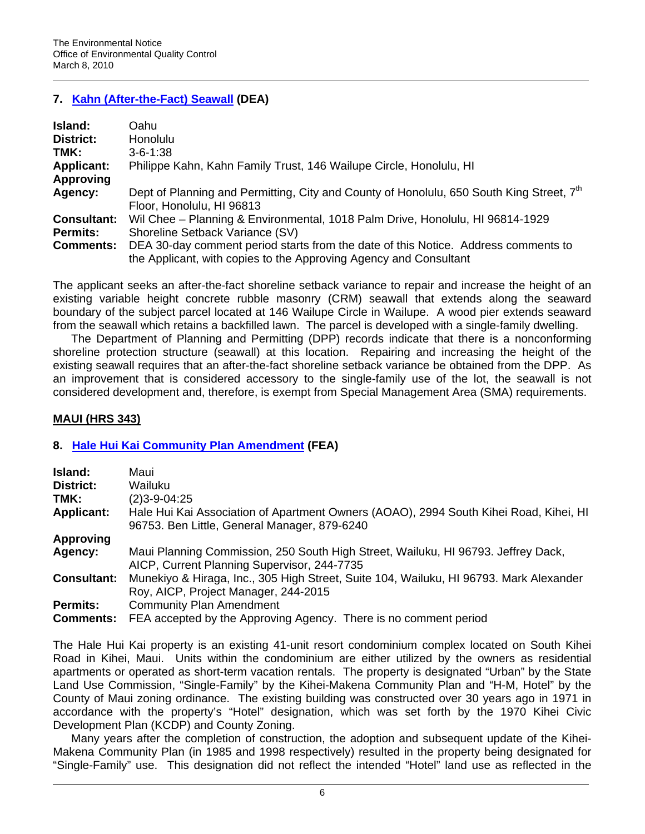## **7. [Kahn \(After-the-Fact\) Seawall](http://oeqc.doh.hawaii.gov/Shared%20Documents/EA_and_EIS_Online_Library/Oahu/2010s/2010-03-08-OA-DEA-Kahn-Seawall.pdf) (DEA)**

| Island:            | Oahu                                                                                                 |  |
|--------------------|------------------------------------------------------------------------------------------------------|--|
| District:          | Honolulu                                                                                             |  |
| TMK:               | $3 - 6 - 1:38$                                                                                       |  |
| <b>Applicant:</b>  | Philippe Kahn, Kahn Family Trust, 146 Wailupe Circle, Honolulu, HI                                   |  |
| <b>Approving</b>   |                                                                                                      |  |
| Agency:            | Dept of Planning and Permitting, City and County of Honolulu, 650 South King Street, 7 <sup>th</sup> |  |
|                    | Floor, Honolulu, HI 96813                                                                            |  |
| <b>Consultant:</b> | Wil Chee - Planning & Environmental, 1018 Palm Drive, Honolulu, HI 96814-1929                        |  |
| <b>Permits:</b>    | Shoreline Setback Variance (SV)                                                                      |  |
| <b>Comments:</b>   | DEA 30-day comment period starts from the date of this Notice. Address comments to                   |  |
|                    | the Applicant, with copies to the Approving Agency and Consultant                                    |  |

The applicant seeks an after-the-fact shoreline setback variance to repair and increase the height of an existing variable height concrete rubble masonry (CRM) seawall that extends along the seaward boundary of the subject parcel located at 146 Wailupe Circle in Wailupe. A wood pier extends seaward from the seawall which retains a backfilled lawn. The parcel is developed with a single-family dwelling.

The Department of Planning and Permitting (DPP) records indicate that there is a nonconforming shoreline protection structure (seawall) at this location. Repairing and increasing the height of the existing seawall requires that an after-the-fact shoreline setback variance be obtained from the DPP. As an improvement that is considered accessory to the single-family use of the lot, the seawall is not considered development and, therefore, is exempt from Special Management Area (SMA) requirements.

## **MAUI (HRS 343)**

# **8. [Hale Hui Kai Community Plan Amendment](http://oeqc.doh.hawaii.gov/Shared%20Documents/EA_and_EIS_Online_Library/Maui/2010s/2010-03-08-MA-FEA-Hale-Hui-Kai-Comm-Plan-Amend.pdf) (FEA)**

| Island:            | Maui                                                                                   |
|--------------------|----------------------------------------------------------------------------------------|
| District:          | Wailuku                                                                                |
| TMK:               | $(2)3 - 9 - 04:25$                                                                     |
| <b>Applicant:</b>  | Hale Hui Kai Association of Apartment Owners (AOAO), 2994 South Kihei Road, Kihei, HI  |
|                    | 96753. Ben Little, General Manager, 879-6240                                           |
| <b>Approving</b>   |                                                                                        |
| Agency:            | Maui Planning Commission, 250 South High Street, Wailuku, HI 96793. Jeffrey Dack,      |
|                    | AICP, Current Planning Supervisor, 244-7735                                            |
| <b>Consultant:</b> | Munekiyo & Hiraga, Inc., 305 High Street, Suite 104, Wailuku, HI 96793. Mark Alexander |
|                    | Roy, AICP, Project Manager, 244-2015                                                   |
| <b>Permits:</b>    | <b>Community Plan Amendment</b>                                                        |
| <b>Comments:</b>   | FEA accepted by the Approving Agency. There is no comment period                       |

The Hale Hui Kai property is an existing 41-unit resort condominium complex located on South Kihei Road in Kihei, Maui. Units within the condominium are either utilized by the owners as residential apartments or operated as short-term vacation rentals. The property is designated "Urban" by the State Land Use Commission, "Single-Family" by the Kihei-Makena Community Plan and "H-M, Hotel" by the County of Maui zoning ordinance. The existing building was constructed over 30 years ago in 1971 in accordance with the property's "Hotel" designation, which was set forth by the 1970 Kihei Civic Development Plan (KCDP) and County Zoning.

Many years after the completion of construction, the adoption and subsequent update of the Kihei-Makena Community Plan (in 1985 and 1998 respectively) resulted in the property being designated for "Single-Family" use. This designation did not reflect the intended "Hotel" land use as reflected in the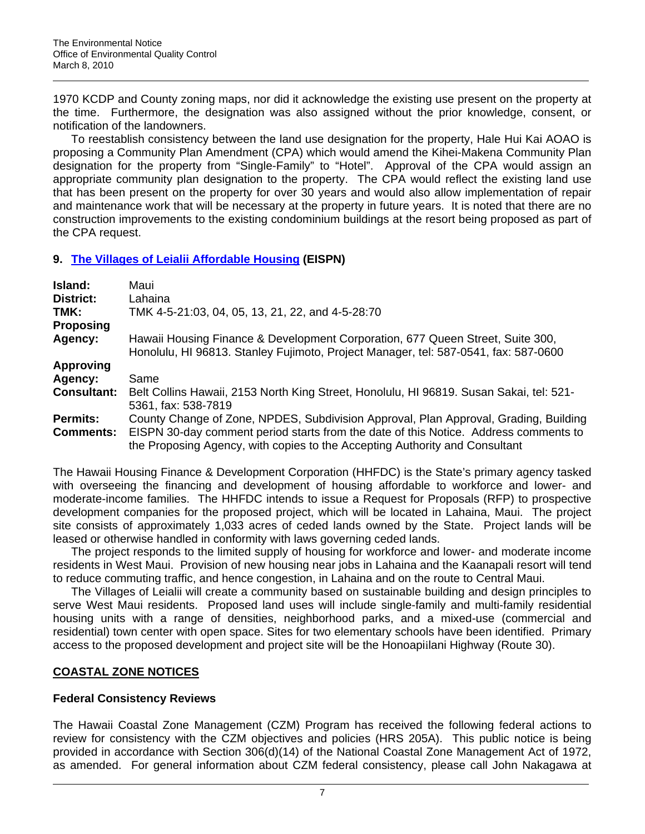1970 KCDP and County zoning maps, nor did it acknowledge the existing use present on the property at the time. Furthermore, the designation was also assigned without the prior knowledge, consent, or notification of the landowners.

To reestablish consistency between the land use designation for the property, Hale Hui Kai AOAO is proposing a Community Plan Amendment (CPA) which would amend the Kihei-Makena Community Plan designation for the property from "Single-Family" to "Hotel". Approval of the CPA would assign an appropriate community plan designation to the property. The CPA would reflect the existing land use that has been present on the property for over 30 years and would also allow implementation of repair and maintenance work that will be necessary at the property in future years. It is noted that there are no construction improvements to the existing condominium buildings at the resort being proposed as part of the CPA request.

## **9. [The Villages of Leialii Affordable Housing](http://oeqc.doh.hawaii.gov/Shared%20Documents/EA_and_EIS_Online_Library/Maui/2010s/2010-03-08-MA-EISPN-Villages-of-Leialii.pdf) (EISPN)**

| Island:                             | Maui                                                                                                                                                                                                                                                        |
|-------------------------------------|-------------------------------------------------------------------------------------------------------------------------------------------------------------------------------------------------------------------------------------------------------------|
| District:                           | Lahaina                                                                                                                                                                                                                                                     |
| TMK:                                | TMK 4-5-21:03, 04, 05, 13, 21, 22, and 4-5-28:70                                                                                                                                                                                                            |
| <b>Proposing</b>                    |                                                                                                                                                                                                                                                             |
| Agency:                             | Hawaii Housing Finance & Development Corporation, 677 Queen Street, Suite 300,<br>Honolulu, HI 96813. Stanley Fujimoto, Project Manager, tel: 587-0541, fax: 587-0600                                                                                       |
| <b>Approving</b>                    |                                                                                                                                                                                                                                                             |
| Agency:                             | Same                                                                                                                                                                                                                                                        |
| <b>Consultant:</b>                  | Belt Collins Hawaii, 2153 North King Street, Honolulu, HI 96819. Susan Sakai, tel: 521-<br>5361, fax: 538-7819                                                                                                                                              |
| <b>Permits:</b><br><b>Comments:</b> | County Change of Zone, NPDES, Subdivision Approval, Plan Approval, Grading, Building<br>EISPN 30-day comment period starts from the date of this Notice. Address comments to<br>the Proposing Agency, with copies to the Accepting Authority and Consultant |

The Hawaii Housing Finance & Development Corporation (HHFDC) is the State's primary agency tasked with overseeing the financing and development of housing affordable to workforce and lower- and moderate-income families. The HHFDC intends to issue a Request for Proposals (RFP) to prospective development companies for the proposed project, which will be located in Lahaina, Maui. The project site consists of approximately 1,033 acres of ceded lands owned by the State. Project lands will be leased or otherwise handled in conformity with laws governing ceded lands.

The project responds to the limited supply of housing for workforce and lower- and moderate income residents in West Maui. Provision of new housing near jobs in Lahaina and the Kaanapali resort will tend to reduce commuting traffic, and hence congestion, in Lahaina and on the route to Central Maui.

The Villages of Leialii will create a community based on sustainable building and design principles to serve West Maui residents. Proposed land uses will include single-family and multi-family residential housing units with a range of densities, neighborhood parks, and a mixed-use (commercial and residential) town center with open space. Sites for two elementary schools have been identified. Primary access to the proposed development and project site will be the Honoapiilani Highway (Route 30).

# **COASTAL ZONE NOTICES**

# **Federal Consistency Reviews**

The Hawaii Coastal Zone Management (CZM) Program has received the following federal actions to review for consistency with the CZM objectives and policies (HRS 205A). This public notice is being provided in accordance with Section 306(d)(14) of the National Coastal Zone Management Act of 1972, as amended. For general information about CZM federal consistency, please call John Nakagawa at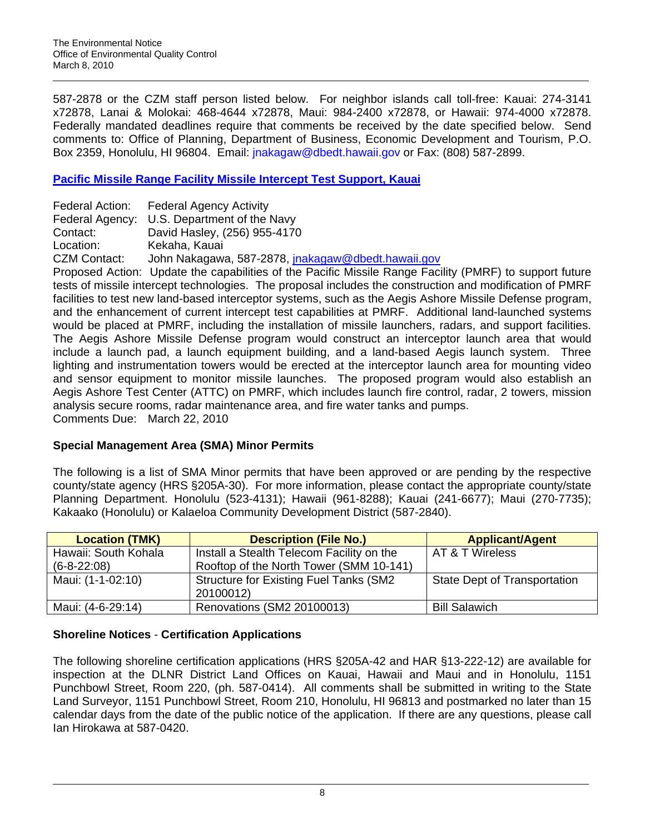587-2878 or the CZM staff person listed below. For neighbor islands call toll-free: Kauai: 274-3141 x72878, Lanai & Molokai: 468-4644 x72878, Maui: 984-2400 x72878, or Hawaii: 974-4000 x72878. Federally mandated deadlines require that comments be received by the date specified below. Send comments to: Office of Planning, Department of Business, Economic Development and Tourism, P.O. Box 2359, Honolulu, HI 96804. Email: [jnakagaw@dbedt.hawaii.gov](mailto:jnakagaw@dbedt.hawaii.gov) or Fax: (808) 587-2899.

# **[Pacific Missile Range Facility Missile Intercept Test Support, Kauai](https://www.govsupport.us/pmrfczm/Review_Document.pdf)**

|              | Federal Action: Federal Agency Activity            |
|--------------|----------------------------------------------------|
|              | Federal Agency: U.S. Department of the Navy        |
| Contact:     | David Hasley, (256) 955-4170                       |
| Location:    | Kekaha, Kauai                                      |
| CZM Contact: | John Nakagawa, 587-2878, jnakagaw@dbedt.hawaii.gov |

Proposed Action: Update the capabilities of the Pacific Missile Range Facility (PMRF) to support future tests of missile intercept technologies. The proposal includes the construction and modification of PMRF facilities to test new land-based interceptor systems, such as the Aegis Ashore Missile Defense program, and the enhancement of current intercept test capabilities at PMRF. Additional land-launched systems would be placed at PMRF, including the installation of missile launchers, radars, and support facilities. The Aegis Ashore Missile Defense program would construct an interceptor launch area that would include a launch pad, a launch equipment building, and a land-based Aegis launch system. Three lighting and instrumentation towers would be erected at the interceptor launch area for mounting video and sensor equipment to monitor missile launches. The proposed program would also establish an Aegis Ashore Test Center (ATTC) on PMRF, which includes launch fire control, radar, 2 towers, mission analysis secure rooms, radar maintenance area, and fire water tanks and pumps. Comments Due: March 22, 2010

# **Special Management Area (SMA) Minor Permits**

The following is a list of SMA Minor permits that have been approved or are pending by the respective county/state agency (HRS §205A-30). For more information, please contact the appropriate county/state Planning Department. Honolulu (523-4131); Hawaii (961-8288); Kauai (241-6677); Maui (270-7735); Kakaako (Honolulu) or Kalaeloa Community Development District (587-2840).

| <b>Location (TMK)</b> | <b>Description (File No.)</b>                  | <b>Applicant/Agent</b>              |
|-----------------------|------------------------------------------------|-------------------------------------|
| Hawaii: South Kohala  | Install a Stealth Telecom Facility on the      | AT & T Wireless                     |
| $(6-8-22:08)$         | Rooftop of the North Tower (SMM 10-141)        |                                     |
| Maui: (1-1-02:10)     | <b>Structure for Existing Fuel Tanks (SM2)</b> | <b>State Dept of Transportation</b> |
|                       | 20100012)                                      |                                     |
| Maui: (4-6-29:14)     | Renovations (SM2 20100013)                     | <b>Bill Salawich</b>                |

# **Shoreline Notices** - **Certification Applications**

The following shoreline certification applications (HRS §205A-42 and HAR §13-222-12) are available for inspection at the DLNR District Land Offices on Kauai, Hawaii and Maui and in Honolulu, 1151 Punchbowl Street, Room 220, (ph. 587-0414). All comments shall be submitted in writing to the State Land Surveyor, 1151 Punchbowl Street, Room 210, Honolulu, HI 96813 and postmarked no later than 15 calendar days from the date of the public notice of the application. If there are any questions, please call Ian Hirokawa at 587-0420.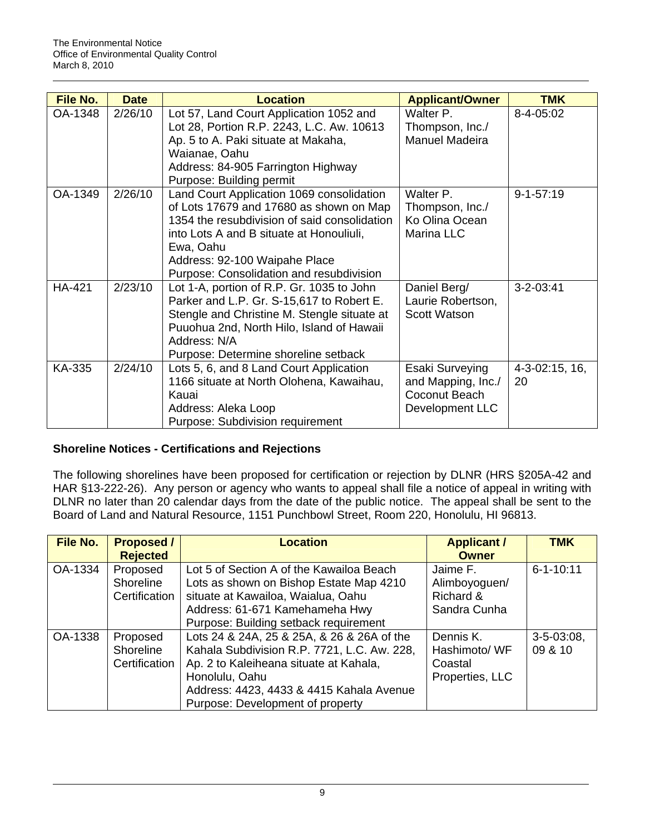| File No.      | <b>Date</b> | <b>Location</b>                                                                      | <b>Applicant/Owner</b>       | <b>TMK</b>           |
|---------------|-------------|--------------------------------------------------------------------------------------|------------------------------|----------------------|
| OA-1348       | 2/26/10     | Lot 57, Land Court Application 1052 and<br>Lot 28, Portion R.P. 2243, L.C. Aw. 10613 | Walter P.<br>Thompson, Inc./ | 8-4-05:02            |
|               |             | Ap. 5 to A. Paki situate at Makaha,                                                  | Manuel Madeira               |                      |
|               |             | Waianae, Oahu                                                                        |                              |                      |
|               |             | Address: 84-905 Farrington Highway                                                   |                              |                      |
|               |             | Purpose: Building permit                                                             |                              |                      |
| OA-1349       | 2/26/10     | Land Court Application 1069 consolidation                                            | Walter P.                    | $9 - 1 - 57:19$      |
|               |             | of Lots 17679 and 17680 as shown on Map                                              | Thompson, Inc./              |                      |
|               |             | 1354 the resubdivision of said consolidation                                         | Ko Olina Ocean               |                      |
|               |             | into Lots A and B situate at Honouliuli,                                             | Marina LLC                   |                      |
|               |             | Ewa, Oahu                                                                            |                              |                      |
|               |             | Address: 92-100 Waipahe Place                                                        |                              |                      |
|               |             | Purpose: Consolidation and resubdivision                                             |                              |                      |
| <b>HA-421</b> | 2/23/10     | Lot 1-A, portion of R.P. Gr. 1035 to John                                            | Daniel Berg/                 | $3 - 2 - 03:41$      |
|               |             | Parker and L.P. Gr. S-15,617 to Robert E.                                            | Laurie Robertson,            |                      |
|               |             | Stengle and Christine M. Stengle situate at                                          | Scott Watson                 |                      |
|               |             | Puuohua 2nd, North Hilo, Island of Hawaii                                            |                              |                      |
|               |             | Address: N/A                                                                         |                              |                      |
|               |             | Purpose: Determine shoreline setback                                                 |                              |                      |
| KA-335        | 2/24/10     | Lots 5, 6, and 8 Land Court Application                                              | Esaki Surveying              | $4 - 3 - 02:15, 16,$ |
|               |             | 1166 situate at North Olohena, Kawaihau,                                             | and Mapping, Inc./           | 20                   |
|               |             | Kauai                                                                                | Coconut Beach                |                      |
|               |             | Address: Aleka Loop                                                                  | Development LLC              |                      |
|               |             | Purpose: Subdivision requirement                                                     |                              |                      |

# **Shoreline Notices - Certifications and Rejections**

The following shorelines have been proposed for certification or rejection by DLNR (HRS §205A-42 and HAR §13-222-26). Any person or agency who wants to appeal shall file a notice of appeal in writing with DLNR no later than 20 calendar days from the date of the public notice. The appeal shall be sent to the Board of Land and Natural Resource, 1151 Punchbowl Street, Room 220, Honolulu, HI 96813.

| <b>File No.</b> | <b>Proposed /</b><br><b>Rejected</b>   | <b>Location</b>                                                                                                                                                                                                                       | <b>Applicant /</b><br><b>Owner</b>                       | <b>TMK</b>                 |
|-----------------|----------------------------------------|---------------------------------------------------------------------------------------------------------------------------------------------------------------------------------------------------------------------------------------|----------------------------------------------------------|----------------------------|
| OA-1334         | Proposed<br>Shoreline<br>Certification | Lot 5 of Section A of the Kawailoa Beach<br>Lots as shown on Bishop Estate Map 4210<br>situate at Kawailoa, Waialua, Oahu<br>Address: 61-671 Kamehameha Hwy<br>Purpose: Building setback requirement                                  | Jaime F.<br>Alimboyoguen/<br>Richard &<br>Sandra Cunha   | $6 - 1 - 10:11$            |
| OA-1338         | Proposed<br>Shoreline<br>Certification | Lots 24 & 24A, 25 & 25A, & 26 & 26A of the<br>Kahala Subdivision R.P. 7721, L.C. Aw. 228,<br>Ap. 2 to Kaleiheana situate at Kahala,<br>Honolulu, Oahu<br>Address: 4423, 4433 & 4415 Kahala Avenue<br>Purpose: Development of property | Dennis K.<br>Hashimoto/ WF<br>Coastal<br>Properties, LLC | $3 - 5 - 03:08$<br>09 & 10 |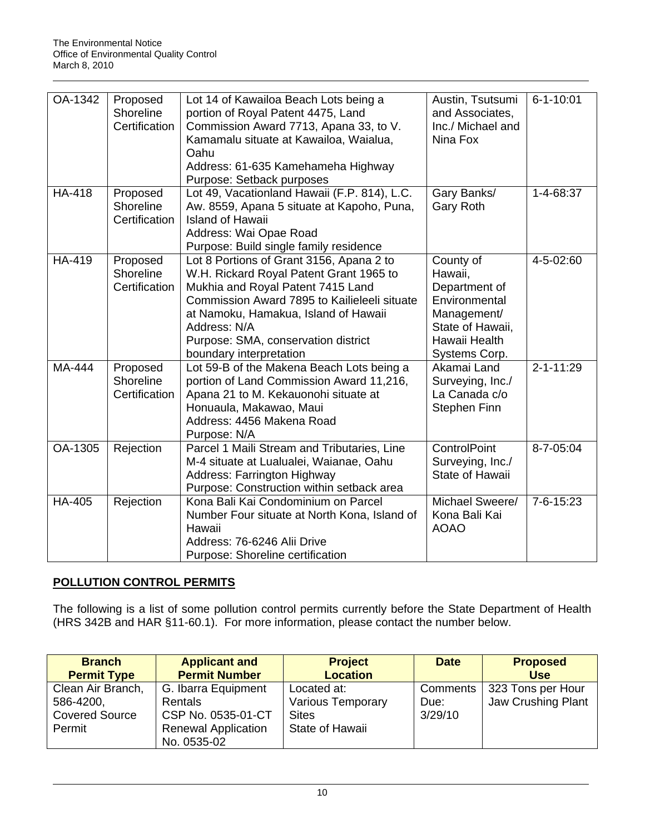| OA-1342       | Proposed<br>Shoreline<br>Certification | Lot 14 of Kawailoa Beach Lots being a<br>portion of Royal Patent 4475, Land<br>Commission Award 7713, Apana 33, to V.<br>Kamamalu situate at Kawailoa, Waialua,<br>Oahu<br>Address: 61-635 Kamehameha Highway<br>Purpose: Setback purposes                                                         | Austin, Tsutsumi<br>and Associates,<br>Inc./ Michael and<br>Nina Fox                                                        | $6 - 1 - 10:01$ |
|---------------|----------------------------------------|----------------------------------------------------------------------------------------------------------------------------------------------------------------------------------------------------------------------------------------------------------------------------------------------------|-----------------------------------------------------------------------------------------------------------------------------|-----------------|
| <b>HA-418</b> | Proposed<br>Shoreline<br>Certification | Lot 49, Vacationland Hawaii (F.P. 814), L.C.<br>Aw. 8559, Apana 5 situate at Kapoho, Puna,<br><b>Island of Hawaii</b><br>Address: Wai Opae Road<br>Purpose: Build single family residence                                                                                                          | Gary Banks/<br><b>Gary Roth</b>                                                                                             | 1-4-68:37       |
| HA-419        | Proposed<br>Shoreline<br>Certification | Lot 8 Portions of Grant 3156, Apana 2 to<br>W.H. Rickard Royal Patent Grant 1965 to<br>Mukhia and Royal Patent 7415 Land<br>Commission Award 7895 to Kailieleeli situate<br>at Namoku, Hamakua, Island of Hawaii<br>Address: N/A<br>Purpose: SMA, conservation district<br>boundary interpretation | County of<br>Hawaii,<br>Department of<br>Environmental<br>Management/<br>State of Hawaii,<br>Hawaii Health<br>Systems Corp. | 4-5-02:60       |
| MA-444        | Proposed<br>Shoreline<br>Certification | Lot 59-B of the Makena Beach Lots being a<br>portion of Land Commission Award 11,216,<br>Apana 21 to M. Kekauonohi situate at<br>Honuaula, Makawao, Maui<br>Address: 4456 Makena Road<br>Purpose: N/A                                                                                              | Akamai Land<br>Surveying, Inc./<br>La Canada c/o<br>Stephen Finn                                                            | $2 - 1 - 11:29$ |
| OA-1305       | Rejection                              | Parcel 1 Maili Stream and Tributaries, Line<br>M-4 situate at Lualualei, Waianae, Oahu<br>Address: Farrington Highway<br>Purpose: Construction within setback area                                                                                                                                 | ControlPoint<br>Surveying, Inc./<br>State of Hawaii                                                                         | 8-7-05:04       |
| <b>HA-405</b> | Rejection                              | Kona Bali Kai Condominium on Parcel<br>Number Four situate at North Kona, Island of<br>Hawaii<br>Address: 76-6246 Alii Drive<br>Purpose: Shoreline certification                                                                                                                                   | Michael Sweere/<br>Kona Bali Kai<br><b>AOAO</b>                                                                             | 7-6-15:23       |

# **POLLUTION CONTROL PERMITS**

The following is a list of some pollution control permits currently before the State Department of Health (HRS 342B and HAR §11-60.1). For more information, please contact the number below.

| <b>Branch</b>                                                     | <b>Applicant and</b>                                                                                     | <b>Project</b>                                                             | <b>Date</b>                 | <b>Proposed</b>                         |
|-------------------------------------------------------------------|----------------------------------------------------------------------------------------------------------|----------------------------------------------------------------------------|-----------------------------|-----------------------------------------|
| <b>Permit Type</b>                                                | <b>Permit Number</b>                                                                                     | <b>Location</b>                                                            |                             | <b>Use</b>                              |
| Clean Air Branch,<br>586-4200,<br><b>Covered Source</b><br>Permit | G. Ibarra Equipment<br><b>Rentals</b><br>CSP No. 0535-01-CT<br><b>Renewal Application</b><br>No. 0535-02 | Located at:<br><b>Various Temporary</b><br><b>Sites</b><br>State of Hawaii | Comments<br>Due:<br>3/29/10 | 323 Tons per Hour<br>Jaw Crushing Plant |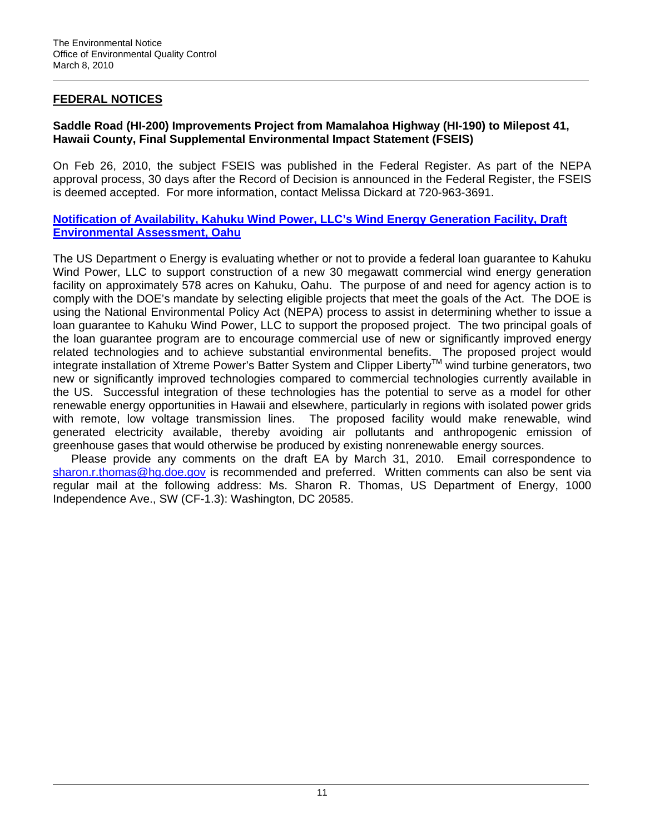## **FEDERAL NOTICES**

## **Saddle Road (HI-200) Improvements Project from Mamalahoa Highway (HI-190) to Milepost 41, Hawaii County, Final Supplemental Environmental Impact Statement (FSEIS)**

On Feb 26, 2010, the subject FSEIS was published in the Federal Register. As part of the NEPA approval process, 30 days after the Record of Decision is announced in the Federal Register, the FSEIS is deemed accepted. For more information, contact Melissa Dickard at 720-963-3691.

## **[Notification of Availability, Kahuku Wind Power, LLC's Wind Energy Generation Facility, Draft](http://lgprogram.energy.gov/NEPA-1b-7.html)  [Environmental Assessment, Oahu](http://lgprogram.energy.gov/NEPA-1b-7.html)**

The US Department o Energy is evaluating whether or not to provide a federal loan guarantee to Kahuku Wind Power, LLC to support construction of a new 30 megawatt commercial wind energy generation facility on approximately 578 acres on Kahuku, Oahu. The purpose of and need for agency action is to comply with the DOE's mandate by selecting eligible projects that meet the goals of the Act. The DOE is using the National Environmental Policy Act (NEPA) process to assist in determining whether to issue a loan guarantee to Kahuku Wind Power, LLC to support the proposed project. The two principal goals of the loan guarantee program are to encourage commercial use of new or significantly improved energy related technologies and to achieve substantial environmental benefits. The proposed project would integrate installation of Xtreme Power's Batter System and Clipper Liberty™ wind turbine generators, two new or significantly improved technologies compared to commercial technologies currently available in the US. Successful integration of these technologies has the potential to serve as a model for other renewable energy opportunities in Hawaii and elsewhere, particularly in regions with isolated power grids with remote, low voltage transmission lines. The proposed facility would make renewable, wind generated electricity available, thereby avoiding air pollutants and anthropogenic emission of greenhouse gases that would otherwise be produced by existing nonrenewable energy sources.

Please provide any comments on the draft EA by March 31, 2010. Email correspondence to [sharon.r.thomas@hg.doe.gov](mailto:sharon.r.thomas@hg.doe.gov) is recommended and preferred. Written comments can also be sent via regular mail at the following address: Ms. Sharon R. Thomas, US Department of Energy, 1000 Independence Ave., SW (CF-1.3): Washington, DC 20585.